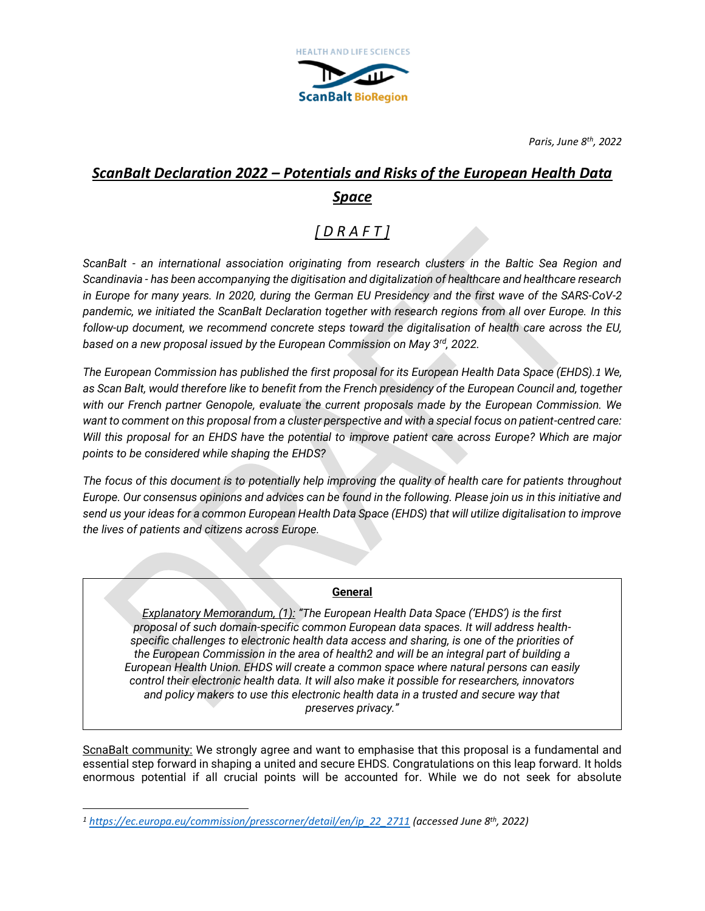

*Paris, June 8th , 2022*

## *ScanBalt Declaration 2022 – Potentials and Risks of the European Health Data Space*

# *[ D R A F T ]*

*ScanBalt - an international association originating from research clusters in the Baltic Sea Region and Scandinavia - has been accompanying the digitisation and digitalization of healthcare and healthcare research in Europe for many years. In 2020, during the German EU Presidency and the first wave of the SARS-CoV-2 pandemic, we initiated the ScanBalt Declaration together with research regions from all over Europe. In this follow-up document, we recommend concrete steps toward the digitalisation of health care across the EU, based on a new proposal issued by the European Commission on May 3rd, 2022.*

*The European Commission has published the first proposal for its European Health Data Space (EHDS).1 We, as Scan Balt, would therefore like to benefit from the French presidency of the European Council and, together with our French partner Genopole, evaluate the current proposals made by the European Commission. We want to comment on this proposal from a cluster perspective and with a special focus on patient-centred care: Will this proposal for an EHDS have the potential to improve patient care across Europe? Which are major points to be considered while shaping the EHDS?* 

*The focus of this document is to potentially help improving the quality of health care for patients throughout Europe. Our consensus opinions and advices can be found in the following. Please join us in this initiative and send us your ideas for a common European Health Data Space (EHDS) that will utilize digitalisation to improve the lives of patients and citizens across Europe.*

## **General**

*Explanatory Memorandum, (1): "The European Health Data Space ('EHDS') is the first proposal of such domain-specific common European data spaces. It will address healthspecific challenges to electronic health data access and sharing, is one of the priorities of the European Commission in the area of health2 and will be an integral part of building a European Health Union. EHDS will create a common space where natural persons can easily control their electronic health data. It will also make it possible for researchers, innovators and policy makers to use this electronic health data in a trusted and secure way that preserves privacy."*

ScnaBalt community: We strongly agree and want to emphasise that this proposal is a fundamental and essential step forward in shaping a united and secure EHDS. Congratulations on this leap forward. It holds enormous potential if all crucial points will be accounted for. While we do not seek for absolute

*<sup>1</sup> [https://ec.europa.eu/commission/presscorner/detail/en/ip\\_22\\_2711](https://ec.europa.eu/commission/presscorner/detail/en/ip_22_2711) (accessed June 8th, 2022)*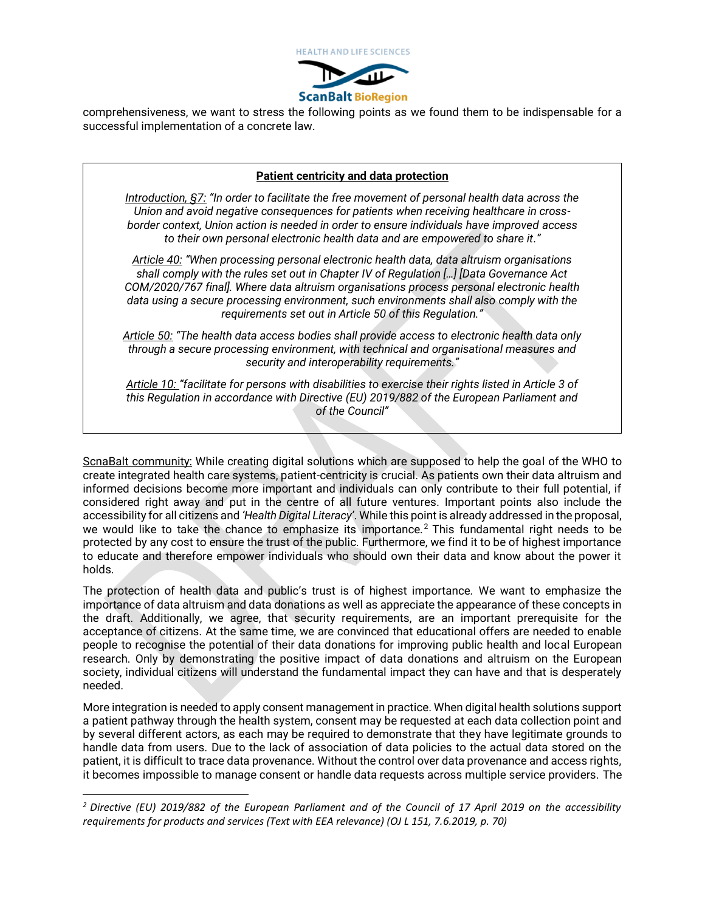

comprehensiveness, we want to stress the following points as we found them to be indispensable for a successful implementation of a concrete law.

## **Patient centricity and data protection**

*Introduction, §7: "In order to facilitate the free movement of personal health data across the Union and avoid negative consequences for patients when receiving healthcare in crossborder context, Union action is needed in order to ensure individuals have improved access to their own personal electronic health data and are empowered to share it."*

*Article 40: "When processing personal electronic health data, data altruism organisations shall comply with the rules set out in Chapter IV of Regulation […] [Data Governance Act COM/2020/767 final]. Where data altruism organisations process personal electronic health data using a secure processing environment, such environments shall also comply with the requirements set out in Article 50 of this Regulation."*

*Article 50: "The health data access bodies shall provide access to electronic health data only through a secure processing environment, with technical and organisational measures and security and interoperability requirements."*

*Article 10: "facilitate for persons with disabilities to exercise their rights listed in Article 3 of this Regulation in accordance with Directive (EU) 2019/882 of the European Parliament and of the Council"*

ScnaBalt community: While creating digital solutions which are supposed to help the goal of the WHO to create integrated health care systems, patient-centricity is crucial. As patients own their data altruism and informed decisions become more important and individuals can only contribute to their full potential, if considered right away and put in the centre of all future ventures. Important points also include the accessibility for all citizens and *'Health Digital Literacy'*. While this point is already addressed in the proposal, we would like to take the chance to emphasize its importance.<sup>2</sup> This fundamental right needs to be protected by any cost to ensure the trust of the public. Furthermore, we find it to be of highest importance to educate and therefore empower individuals who should own their data and know about the power it holds.

The protection of health data and public's trust is of highest importance. We want to emphasize the importance of data altruism and data donations as well as appreciate the appearance of these concepts in the draft. Additionally, we agree, that security requirements, are an important prerequisite for the acceptance of citizens. At the same time, we are convinced that educational offers are needed to enable people to recognise the potential of their data donations for improving public health and local European research. Only by demonstrating the positive impact of data donations and altruism on the European society, individual citizens will understand the fundamental impact they can have and that is desperately needed.

More integration is needed to apply consent management in practice. When digital health solutions support a patient pathway through the health system, consent may be requested at each data collection point and by several different actors, as each may be required to demonstrate that they have legitimate grounds to handle data from users. Due to the lack of association of data policies to the actual data stored on the patient, it is difficult to trace data provenance. Without the control over data provenance and access rights, it becomes impossible to manage consent or handle data requests across multiple service providers. The

*<sup>2</sup> Directive (EU) 2019/882 of the European Parliament and of the Council of 17 April 2019 on the accessibility requirements for products and services (Text with EEA relevance) (OJ L 151, 7.6.2019, p. 70)*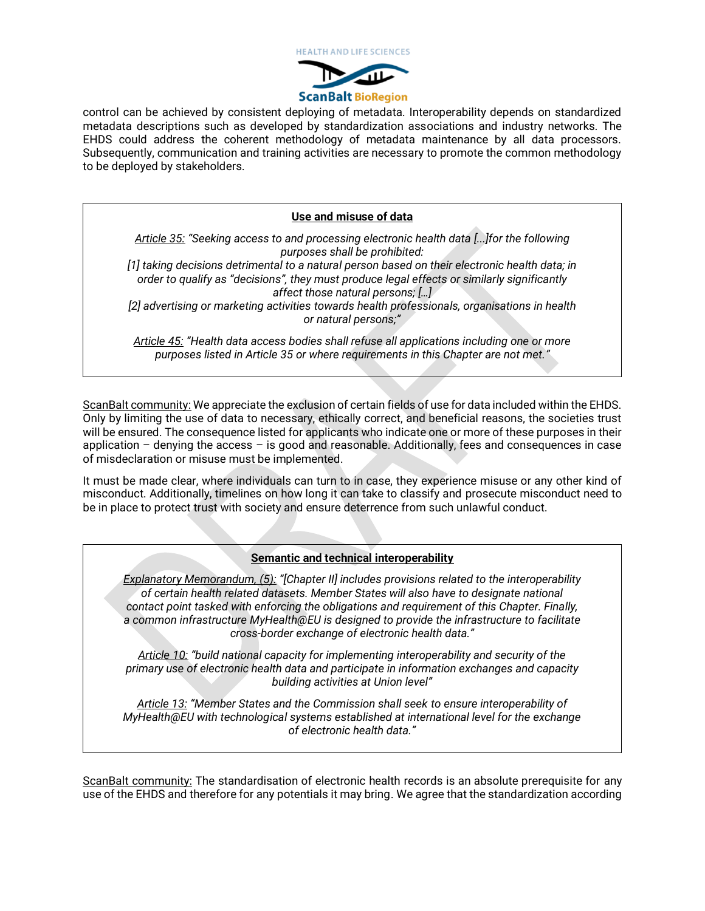

control can be achieved by consistent deploying of metadata. Interoperability depends on standardized metadata descriptions such as developed by standardization associations and industry networks. The EHDS could address the coherent methodology of metadata maintenance by all data processors. Subsequently, communication and training activities are necessary to promote the common methodology to be deployed by stakeholders.

## **Use and misuse of data**

*Article 35: "Seeking access to and processing electronic health data [...]for the following purposes shall be prohibited:*

*[1] taking decisions detrimental to a natural person based on their electronic health data; in order to qualify as "decisions", they must produce legal effects or similarly significantly affect those natural persons; […]*

*[2] advertising or marketing activities towards health professionals, organisations in health or natural persons;"*

*Article 45: "Health data access bodies shall refuse all applications including one or more purposes listed in Article 35 or where requirements in this Chapter are not met."*

ScanBalt community: We appreciate the exclusion of certain fields of use for data included within the EHDS. Only by limiting the use of data to necessary, ethically correct, and beneficial reasons, the societies trust will be ensured. The consequence listed for applicants who indicate one or more of these purposes in their application – denying the access – is good and reasonable. Additionally, fees and consequences in case of misdeclaration or misuse must be implemented.

It must be made clear, where individuals can turn to in case, they experience misuse or any other kind of misconduct. Additionally, timelines on how long it can take to classify and prosecute misconduct need to be in place to protect trust with society and ensure deterrence from such unlawful conduct.

#### **Semantic and technical interoperability**

*Explanatory Memorandum, (5): "[Chapter II] includes provisions related to the interoperability of certain health related datasets. Member States will also have to designate national contact point tasked with enforcing the obligations and requirement of this Chapter. Finally, a common infrastructure MyHealth@EU is designed to provide the infrastructure to facilitate cross-border exchange of electronic health data."*

*Article 10: "build national capacity for implementing interoperability and security of the primary use of electronic health data and participate in information exchanges and capacity building activities at Union level"*

*Article 13: "Member States and the Commission shall seek to ensure interoperability of MyHealth@EU with technological systems established at international level for the exchange of electronic health data."*

ScanBalt community: The standardisation of electronic health records is an absolute prerequisite for any use of the EHDS and therefore for any potentials it may bring. We agree that the standardization according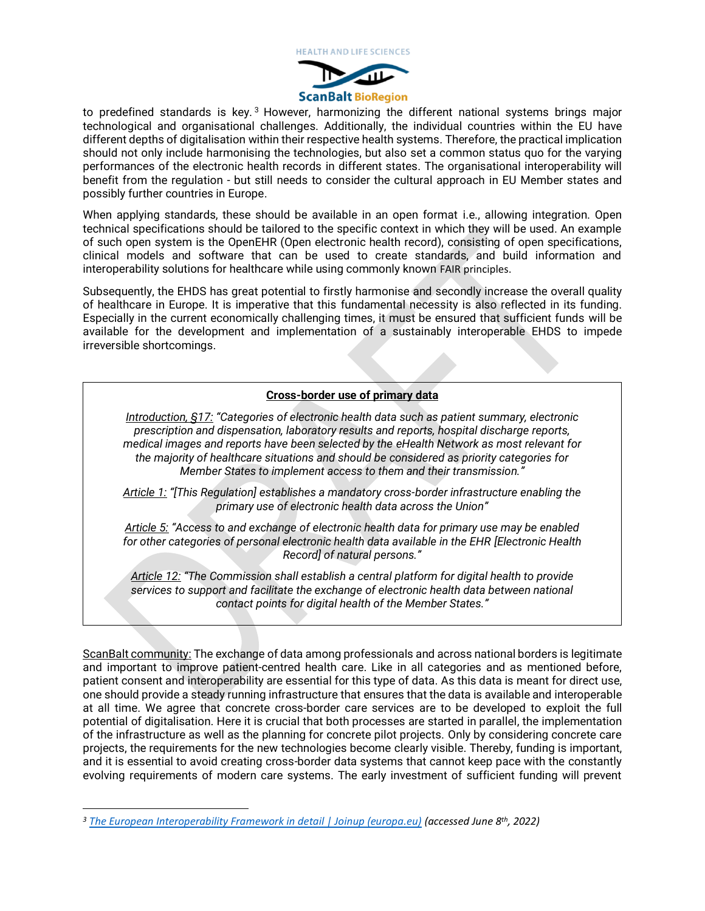

to predefined standards is key. $3$  However, harmonizing the different national systems brings major technological and organisational challenges. Additionally, the individual countries within the EU have different depths of digitalisation within their respective health systems. Therefore, the practical implication should not only include harmonising the technologies, but also set a common status quo for the varying performances of the electronic health records in different states. The organisational interoperability will benefit from the regulation - but still needs to consider the cultural approach in EU Member states and possibly further countries in Europe.

When applying standards, these should be available in an open format i.e., allowing integration. Open technical specifications should be tailored to the specific context in which they will be used. An example of such open system is the OpenEHR (Open electronic health record), consisting of open specifications, clinical models and software that can be used to create standards, and build information and interoperability solutions for healthcare while using commonly known FAIR principles.

Subsequently, the EHDS has great potential to firstly harmonise and secondly increase the overall quality of healthcare in Europe. It is imperative that this fundamental necessity is also reflected in its funding. Especially in the current economically challenging times, it must be ensured that sufficient funds will be available for the development and implementation of a sustainably interoperable EHDS to impede irreversible shortcomings.

## **Cross-border use of primary data**

*Introduction, §17: "Categories of electronic health data such as patient summary, electronic prescription and dispensation, laboratory results and reports, hospital discharge reports, medical images and reports have been selected by the eHealth Network as most relevant for the majority of healthcare situations and should be considered as priority categories for Member States to implement access to them and their transmission."*

*Article 1: "[This Regulation] establishes a mandatory cross-border infrastructure enabling the primary use of electronic health data across the Union"*

*Article 5: "Access to and exchange of electronic health data for primary use may be enabled for other categories of personal electronic health data available in the EHR [Electronic Health Record] of natural persons."*

*Article 12: "The Commission shall establish a central platform for digital health to provide services to support and facilitate the exchange of electronic health data between national contact points for digital health of the Member States."*

ScanBalt community: The exchange of data among professionals and across national borders is legitimate and important to improve patient-centred health care. Like in all categories and as mentioned before, patient consent and interoperability are essential for this type of data. As this data is meant for direct use, one should provide a steady running infrastructure that ensures that the data is available and interoperable at all time. We agree that concrete cross-border care services are to be developed to exploit the full potential of digitalisation. Here it is crucial that both processes are started in parallel, the implementation of the infrastructure as well as the planning for concrete pilot projects. Only by considering concrete care projects, the requirements for the new technologies become clearly visible. Thereby, funding is important, and it is essential to avoid creating cross-border data systems that cannot keep pace with the constantly evolving requirements of modern care systems. The early investment of sufficient funding will prevent

*<sup>3</sup> [The European Interoperability Framework in detail | Joinup \(europa.eu\)](https://joinup.ec.europa.eu/collection/nifo-national-interoperability-framework-observatory/european-interoperability-framework-detail) (accessed June 8th, 2022)*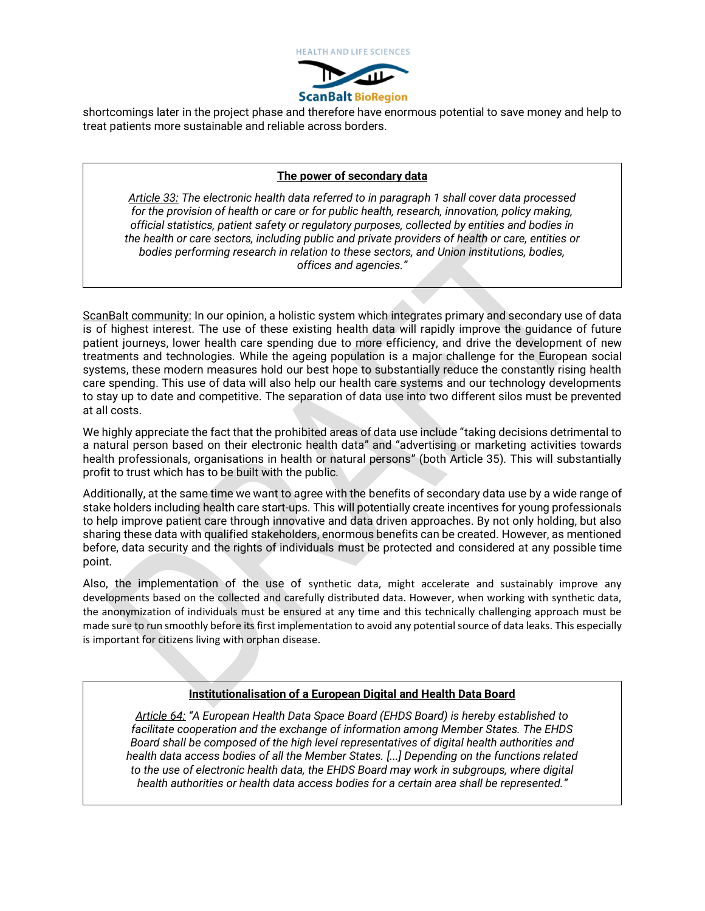

shortcomings later in the project phase and therefore have enormous potential to save money and help to treat patients more sustainable and reliable across borders.

## **The power of secondary data**

*Article 33: The electronic health data referred to in paragraph 1 shall cover data processed for the provision of health or care or for public health, research, innovation, policy making, official statistics, patient safety or regulatory purposes, collected by entities and bodies in the health or care sectors, including public and private providers of health or care, entities or bodies performing research in relation to these sectors, and Union institutions, bodies, offices and agencies."*

ScanBalt community: In our opinion, a holistic system which integrates primary and secondary use of data is of highest interest. The use of these existing health data will rapidly improve the guidance of future patient journeys, lower health care spending due to more efficiency, and drive the development of new treatments and technologies. While the ageing population is a major challenge for the European social systems, these modern measures hold our best hope to substantially reduce the constantly rising health care spending. This use of data will also help our health care systems and our technology developments to stay up to date and competitive. The separation of data use into two different silos must be prevented at all costs.

We highly appreciate the fact that the prohibited areas of data use include "taking decisions detrimental to a natural person based on their electronic health data" and "advertising or marketing activities towards health professionals, organisations in health or natural persons" (both Article 35). This will substantially profit to trust which has to be built with the public.

Additionally, at the same time we want to agree with the benefits of secondary data use by a wide range of stake holders including health care start-ups. This will potentially create incentives for young professionals to help improve patient care through innovative and data driven approaches. By not only holding, but also sharing these data with qualified stakeholders, enormous benefits can be created. However, as mentioned before, data security and the rights of individuals must be protected and considered at any possible time point.

Also, the implementation of the use of synthetic data, might accelerate and sustainably improve any developments based on the collected and carefully distributed data. However, when working with synthetic data, the anonymization of individuals must be ensured at any time and this technically challenging approach must be made sure to run smoothly before its first implementation to avoid any potential source of data leaks. This especially is important for citizens living with orphan disease.

## **Institutionalisation of a European Digital and Health Data Board**

*Article 64: "A European Health Data Space Board (EHDS Board) is hereby established to facilitate cooperation and the exchange of information among Member States. The EHDS Board shall be composed of the high level representatives of digital health authorities and health data access bodies of all the Member States. [...] Depending on the functions related to the use of electronic health data, the EHDS Board may work in subgroups, where digital health authorities or health data access bodies for a certain area shall be represented."*